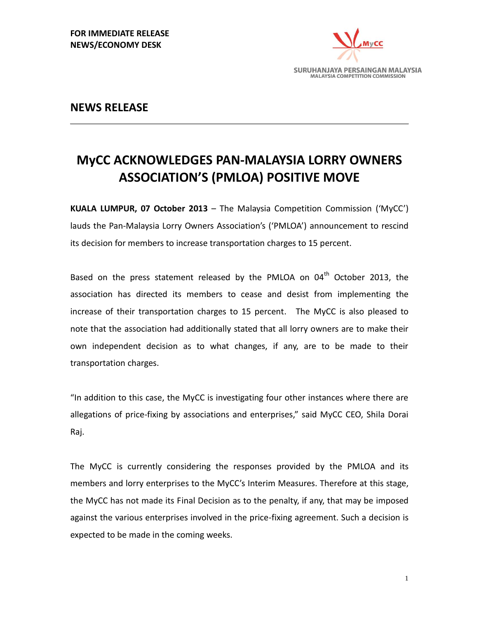

## **NEWS RELEASE**

## **MyCC ACKNOWLEDGES PAN-MALAYSIA LORRY OWNERS ASSOCIATION'S (PMLOA) POSITIVE MOVE**

**KUALA LUMPUR, 07 October 2013** – The Malaysia Competition Commission ('MyCC') lauds the Pan-Malaysia Lorry Owners Association's ('PMLOA') announcement to rescind its decision for members to increase transportation charges to 15 percent.

Based on the press statement released by the PMLOA on  $04<sup>th</sup>$  October 2013, the association has directed its members to cease and desist from implementing the increase of their transportation charges to 15 percent. The MyCC is also pleased to note that the association had additionally stated that all lorry owners are to make their own independent decision as to what changes, if any, are to be made to their transportation charges.

"In addition to this case, the MyCC is investigating four other instances where there are allegations of price-fixing by associations and enterprises," said MyCC CEO, Shila Dorai Raj.

The MyCC is currently considering the responses provided by the PMLOA and its members and lorry enterprises to the MyCC's Interim Measures. Therefore at this stage, the MyCC has not made its Final Decision as to the penalty, if any, that may be imposed against the various enterprises involved in the price-fixing agreement. Such a decision is expected to be made in the coming weeks.

1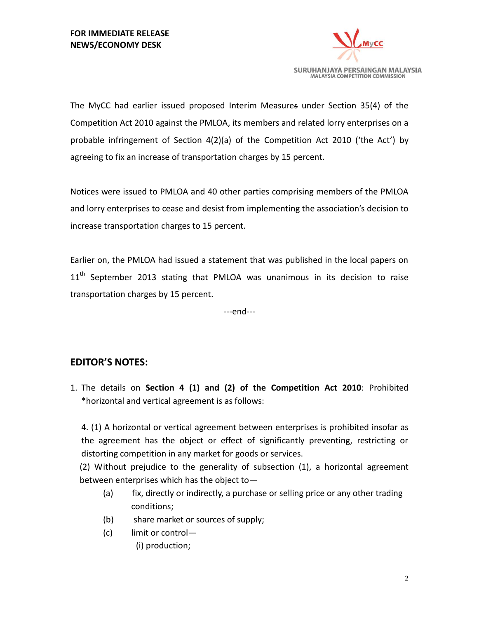

The MyCC had earlier issued proposed Interim Measures under Section 35(4) of the Competition Act 2010 against the PMLOA, its members and related lorry enterprises on a probable infringement of Section 4(2)(a) of the Competition Act 2010 ('the Act') by agreeing to fix an increase of transportation charges by 15 percent.

Notices were issued to PMLOA and 40 other parties comprising members of the PMLOA and lorry enterprises to cease and desist from implementing the association's decision to increase transportation charges to 15 percent.

Earlier on, the PMLOA had issued a statement that was published in the local papers on 11<sup>th</sup> September 2013 stating that PMLOA was unanimous in its decision to raise transportation charges by 15 percent.

---end---

## **EDITOR'S NOTES:**

1. The details on **Section 4 (1) and (2) of the Competition Act 2010**: Prohibited \*horizontal and vertical agreement is as follows:

4. (1) A horizontal or vertical agreement between enterprises is prohibited insofar as the agreement has the object or effect of significantly preventing, restricting or distorting competition in any market for goods or services.

(2) Without prejudice to the generality of subsection (1), a horizontal agreement between enterprises which has the object to—

- (a) fix, directly or indirectly, a purchase or selling price or any other trading conditions;
- (b) share market or sources of supply;
- (c) limit or control—
	- (i) production;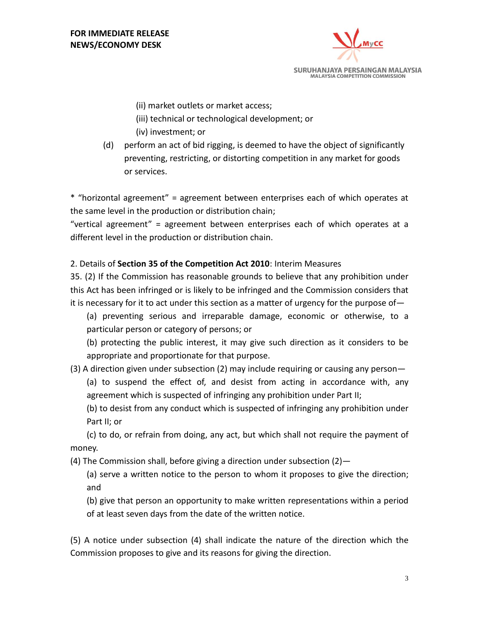

(ii) market outlets or market access;

- (iii) technical or technological development; or
- (iv) investment; or
- (d) perform an act of bid rigging, is deemed to have the object of significantly preventing, restricting, or distorting competition in any market for goods or services.

\* "horizontal agreement" = agreement between enterprises each of which operates at the same level in the production or distribution chain;

"vertical agreement" = agreement between enterprises each of which operates at a different level in the production or distribution chain.

2. Details of **Section 35 of the Competition Act 2010**: Interim Measures

35. (2) If the Commission has reasonable grounds to believe that any prohibition under this Act has been infringed or is likely to be infringed and the Commission considers that it is necessary for it to act under this section as a matter of urgency for the purpose of—

(a) preventing serious and irreparable damage, economic or otherwise, to a particular person or category of persons; or

(b) protecting the public interest, it may give such direction as it considers to be appropriate and proportionate for that purpose.

(3) A direction given under subsection (2) may include requiring or causing any person—

(a) to suspend the effect of, and desist from acting in accordance with, any agreement which is suspected of infringing any prohibition under Part II;

(b) to desist from any conduct which is suspected of infringing any prohibition under Part II; or

(c) to do, or refrain from doing, any act, but which shall not require the payment of money.

(4) The Commission shall, before giving a direction under subsection (2)—

(a) serve a written notice to the person to whom it proposes to give the direction; and

(b) give that person an opportunity to make written representations within a period of at least seven days from the date of the written notice.

(5) A notice under subsection (4) shall indicate the nature of the direction which the Commission proposes to give and its reasons for giving the direction.